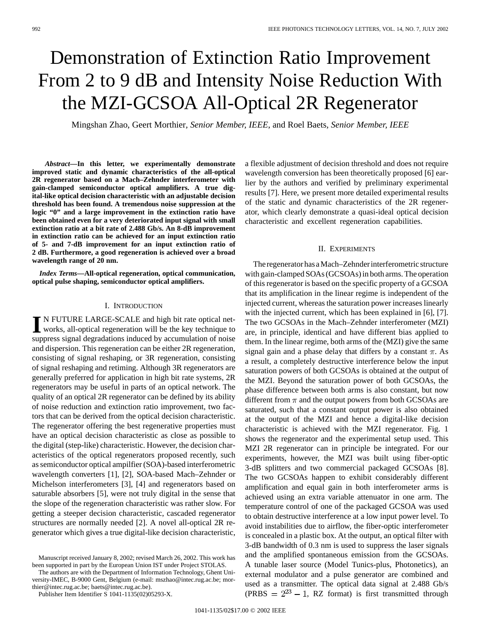# Demonstration of Extinction Ratio Improvement From 2 to 9 dB and Intensity Noise Reduction With the MZI-GCSOA All-Optical 2R Regenerator

Mingshan Zhao, Geert Morthier*, Senior Member, IEEE*, and Roel Baets*, Senior Member, IEEE*

*Abstract—***In this letter, we experimentally demonstrate improved static and dynamic characteristics of the all-optical 2R regenerator based on a Mach–Zehnder interferometer with gain-clamped semiconductor optical amplifiers. A true digital-like optical decision characteristic with an adjustable decision threshold has been found. A tremendous noise suppression at the logic "0" and a large improvement in the extinction ratio have been obtained even for a very deteriorated input signal with small extinction ratio at a bit rate of 2.488 Gb/s. An 8-dB improvement in extinction ratio can be achieved for an input extinction ratio of 5- and 7-dB improvement for an input extinction ratio of 2 dB. Furthermore, a good regeneration is achieved over a broad wavelength range of 20 nm.**

*Index Terms—***All-optical regeneration, optical communication, optical pulse shaping, semiconductor optical amplifiers.**

#### I. INTRODUCTION

**I** N FUTURE LARGE-SCALE and high bit rate optical networks, all-optical regeneration will be the key technique to suppress signal degradations induced by accumulation of noise and dispersion. This regeneration can be either 2R regeneration, consisting of signal reshaping, or 3R regeneration, consisting of signal reshaping and retiming. Although 3R regenerators are generally preferred for application in high bit rate systems, 2R regenerators may be useful in parts of an optical network. The quality of an optical 2R regenerator can be defined by its ability of noise reduction and extinction ratio improvement, two factors that can be derived from the optical decision characteristic. The regenerator offering the best regenerative properties must have an optical decision characteristic as close as possible to the digital (step-like) characteristic. However, the decision characteristics of the optical regenerators proposed recently, such as semiconductor optical ampilfier (SOA)-based interferometric wavelength converters [1], [2], SOA-based Mach–Zehnder or Michelson interferometers [3], [4] and regenerators based on saturable absorbers [5], were not truly digital in the sense that the slope of the regeneration characteristic was rather slow. For getting a steeper decision characteristic, cascaded regenerator structures are normally needed [2]. A novel all-optical 2R regenerator which gives a true digital-like decision characteristic,

The authors are with the Department of Information Technology, Ghent University-IMEC, B-9000 Gent, Belgium (e-mail: mszhao@intec.rug.ac.be; morthier@intec.rug.ac.be; baets@intec.rug.ac.be).

Publisher Item Identifier S 1041-1135(02)05293-X.

a flexible adjustment of decision threshold and does not require wavelength conversion has been theoretically proposed [6] earlier by the authors and verified by preliminary experimental results [7]. Here, we present more detailed experimental results of the static and dynamic characteristics of the 2R regenerator, which clearly demonstrate a quasi-ideal optical decision characteristic and excellent regeneration capabilities.

### II. EXPERIMENTS

The regenerator has a Mach–Zehnder interferometric structure with gain-clamped SOAs (GCSOAs) in both arms. The operation of this regenerator is based on the specific property of a GCSOA that its amplification in the linear regime is independent of the injected current, whereas the saturation power increases linearly with the injected current, which has been explained in [6], [7]. The two GCSOAs in the Mach–Zehnder interferometer (MZI) are, in principle, identical and have different bias applied to them. In the linear regime, both arms of the (MZI) give the same signal gain and a phase delay that differs by a constant  $\pi$ . As a result, a completely destructive interference below the input saturation powers of both GCSOAs is obtained at the output of the MZI. Beyond the saturation power of both GCSOAs, the phase difference between both arms is also constant, but now different from  $\pi$  and the output powers from both GCSOAs are saturated, such that a constant output power is also obtained at the output of the MZI and hence a digital-like decision characteristic is achieved with the MZI regenerator. Fig. 1 shows the regenerator and the experimental setup used. This MZI 2R regenerator can in principle be integrated. For our experiments, however, the MZI was built using fiber-optic 3-dB splitters and two commercial packaged GCSOAs [8]. The two GCSOAs happen to exhibit considerably different amplification and equal gain in both interferometer arms is achieved using an extra variable attenuator in one arm. The temperature control of one of the packaged GCSOA was used to obtain destructive interference at a low input power level. To avoid instabilities due to airflow, the fiber-optic interferometer is concealed in a plastic box. At the output, an optical filter with 3-dB bandwidth of 0.3 nm is used to suppress the laser signals and the amplified spontaneous emission from the GCSOAs. A tunable laser source (Model Tunics-plus, Photonetics), an external modulator and a pulse generator are combined and used as a transmitter. The optical data signal at 2.488 Gb/s (PRBS  $= 2^{23} - 1$ , RZ format) is first transmitted through

Manuscript received January 8, 2002; revised March 26, 2002. This work has been supported in part by the European Union IST under Project STOLAS.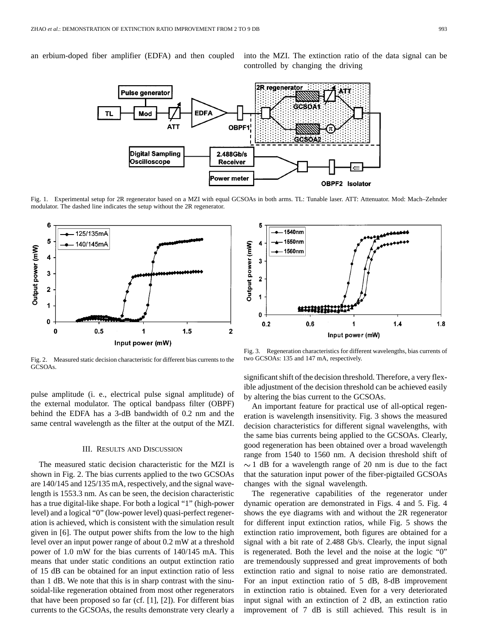an erbium-doped fiber amplifier (EDFA) and then coupled into the MZI. The extinction ratio of the data signal can be controlled by changing the driving



Fig. 1. Experimental setup for 2R regenerator based on a MZI with equal GCSOAs in both arms. TL: Tunable laser. ATT: Attenuator. Mod: Mach–Zehnder modulator. The dashed line indicates the setup without the 2R regenerator.



Fig. 2. Measured static decision characteristic for different bias currents to the GCSOAs.

pulse amplitude (i. e., electrical pulse signal amplitude) of the external modulator. The optical bandpass filter (OBPF) behind the EDFA has a 3-dB bandwidth of 0.2 nm and the same central wavelength as the filter at the output of the MZI.

#### III. RESULTS AND DISCUSSION

The measured static decision characteristic for the MZI is shown in Fig. 2. The bias currents applied to the two GCSOAs are 140/145 and 125/135 mA, respectively, and the signal wavelength is 1553.3 nm. As can be seen, the decision characteristic has a true digital-like shape. For both a logical "1" (high-power level) and a logical "0" (low-power level) quasi-perfect regeneration is achieved, which is consistent with the simulation result given in [6]. The output power shifts from the low to the high level over an input power range of about 0.2 mW at a threshold power of 1.0 mW for the bias currents of 140/145 mA. This means that under static conditions an output extinction ratio of 15 dB can be obtained for an input extinction ratio of less than 1 dB. We note that this is in sharp contrast with the sinusoidal-like regeneration obtained from most other regenerators that have been proposed so far (cf. [1], [2]). For different bias currents to the GCSOAs, the results demonstrate very clearly a



Fig. 3. Regeneration characteristics for different wavelengths, bias currents of two GCSOAs: 135 and 147 mA, respectively.

significant shift of the decision threshold. Therefore, a very flexible adjustment of the decision threshold can be achieved easily by altering the bias current to the GCSOAs.

An important feature for practical use of all-optical regeneration is wavelength insensitivity. Fig. 3 shows the measured decision characteristics for different signal wavelengths, with the same bias currents being applied to the GCSOAs. Clearly, good regeneration has been obtained over a broad wavelength range from 1540 to 1560 nm. A decision threshold shift of  $\sim$  1 dB for a wavelength range of 20 nm is due to the fact that the saturation input power of the fiber-pigtailed GCSOAs changes with the signal wavelength.

The regenerative capabilities of the regenerator under dynamic operation are demonstrated in Figs. 4 and 5. Fig. 4 shows the eye diagrams with and without the 2R regenerator for different input extinction ratios, while Fig. 5 shows the extinction ratio improvement, both figures are obtained for a signal with a bit rate of 2.488 Gb/s. Clearly, the input signal is regenerated. Both the level and the noise at the logic "0" are tremendously suppressed and great improvements of both extinction ratio and signal to noise ratio are demonstrated. For an input extinction ratio of 5 dB, 8-dB improvement in extinction ratio is obtained. Even for a very deteriorated input signal with an extinction of 2 dB, an extinction ratio improvement of 7 dB is still achieved. This result is in